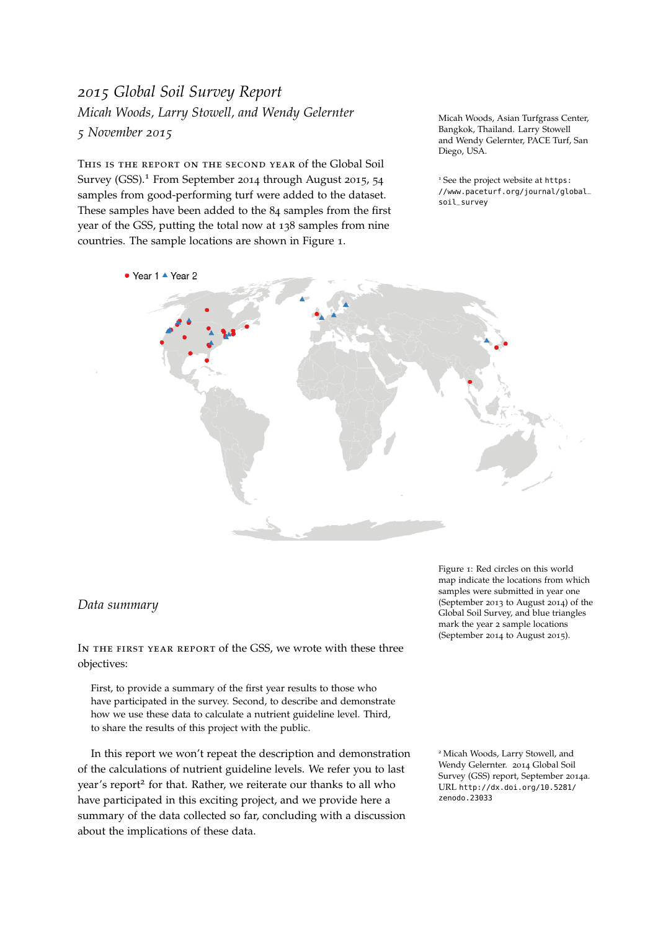# <span id="page-0-0"></span>*2015 Global Soil Survey Report Micah Woods, Larry Stowell, and Wendy Gelernter 5 November 2015*

This is the report on the second year of the Global Soil Survey (GSS).<sup>1</sup> From September 2014 through August 2015, 54 <sup>1</sup> See the project website at [https:](https://www.paceturf.org/journal/global_soil_survey) samples from good-performing turf were added to the dataset. These samples have been added to the 84 samples from the first year of the GSS, putting the total now at 138 samples from nine countries. The sample locations are shown in Figure [1](#page-0-0).

Micah Woods, Asian Turfgrass Center, Bangkok, Thailand. Larry Stowell and Wendy Gelernter, PACE Turf, San Diego, USA.

[//www.paceturf.org/journal/global\\_](https://www.paceturf.org/journal/global_soil_survey) [soil\\_survey](https://www.paceturf.org/journal/global_soil_survey)



### <span id="page-0-1"></span>*Data summary*

IN THE FIRST YEAR REPORT of the GSS, we wrote with these three objectives:

First, to provide a summary of the first year results to those who have participated in the survey. Second, to describe and demonstrate how we use these data to calculate a nutrient guideline level. Third, to share the results of this project with the public.

In this report we won't repeat the description and demonstration of the calculations of nutrient guideline levels. We refer you to last year's report<sup>2</sup> for that. Rather, we reiterate our thanks to all who have participated in this exciting project, and we provide here a [zenodo.23033](http://dx.doi.org/10.5281/zenodo.23033) summary of the data collected so far, concluding with a discussion about the implications of these data.

Figure 1: Red circles on this world map indicate the locations from which samples were submitted in year one (September 2013 to August 2014) of the Global Soil Survey, and blue triangles mark the year 2 sample locations (September 2014 to August 2015).

<sup>2</sup> Micah Woods, Larry Stowell, and Wendy Gelernter. 2014 Global Soil Survey (GSS) report, September 2014a. URL [http://dx.doi.org/10.5281/](http://dx.doi.org/10.5281/zenodo.23033)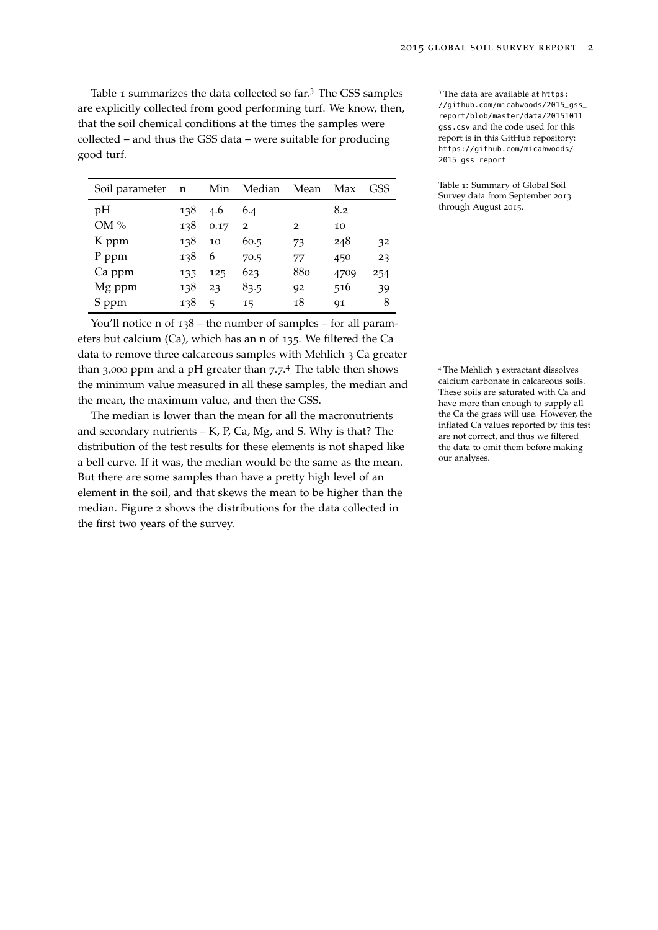Table [1](#page-0-1) summarizes the data collected so far.<sup>3</sup> The GSS samples  $\frac{3}{10}$  The data are available at [https:](https://github.com/micahwoods/2015_gss_report/blob/master/data/20151011_gss.csv) are explicitly collected from good performing turf. We know, then, that the soil chemical conditions at the times the samples were collected – and thus the GSS data – were suitable for producing good turf.

| Soil parameter | n   | Min            | Median         | Mean           | Max  | GSS |
|----------------|-----|----------------|----------------|----------------|------|-----|
| pH             | 138 | 4.6            | 6.4            |                | 8.2  |     |
| OM%            | 138 | 0.17           | $\overline{2}$ | $\overline{2}$ | 10   |     |
| K ppm          | 138 | 10             | 60.5           | 73             | 248  | 32  |
| P ppm          | 138 | 6              | 70.5           | 77             | 450  | 23  |
| Ca ppm         | 135 | 125            | 623            | 880            | 4709 | 254 |
| Mg ppm         | 138 | 23             | 83.5           | 92             | 516  | 39  |
| S ppm          | 138 | $\overline{a}$ | 15             | 18             | 91   | 8   |

You'll notice n of 138 – the number of samples – for all parameters but calcium (Ca), which has an n of 135. We filtered the Ca data to remove three calcareous samples with Mehlich 3 Ca greater than  $3,000$  ppm and a pH greater than  $7.7<sup>4</sup>$ . The table then shows the minimum value measured in all these samples, the median and the mean, the maximum value, and then the GSS.

The median is lower than the mean for all the macronutrients and secondary nutrients  $- K$ , P, Ca, Mg, and S. Why is that? The distribution of the test results for these elements is not shaped like a bell curve. If it was, the median would be the same as the mean. But there are some samples than have a pretty high level of an element in the soil, and that skews the mean to be higher than the median. Figure [2](#page-0-1) shows the distributions for the data collected in the first two years of the survey.

[//github.com/micahwoods/2015\\_gss\\_](https://github.com/micahwoods/2015_gss_report/blob/master/data/20151011_gss.csv) [report/blob/master/data/20151011\\_](https://github.com/micahwoods/2015_gss_report/blob/master/data/20151011_gss.csv) [gss.csv](https://github.com/micahwoods/2015_gss_report/blob/master/data/20151011_gss.csv) and the code used for this report is in this GitHub repository: [https://github.com/micahwoods/](https://github.com/micahwoods/2015_gss_report) [2015\\_gss\\_report](https://github.com/micahwoods/2015_gss_report)

Table 1: Summary of Global Soil Survey data from September 2013 through August 2015.

<sup>4</sup> The Mehlich 3 extractant dissolves calcium carbonate in calcareous soils. These soils are saturated with Ca and have more than enough to supply all the Ca the grass will use. However, the inflated Ca values reported by this test are not correct, and thus we filtered the data to omit them before making our analyses.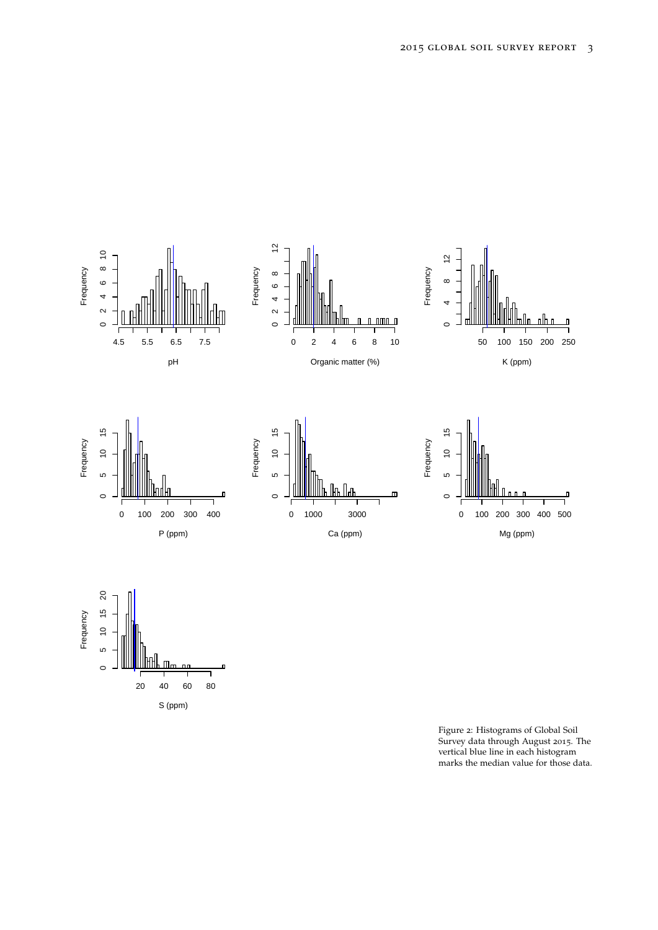



Figure 2: Histograms of Global Soil Survey data through August 2015. The vertical blue line in each histogram marks the median value for those data.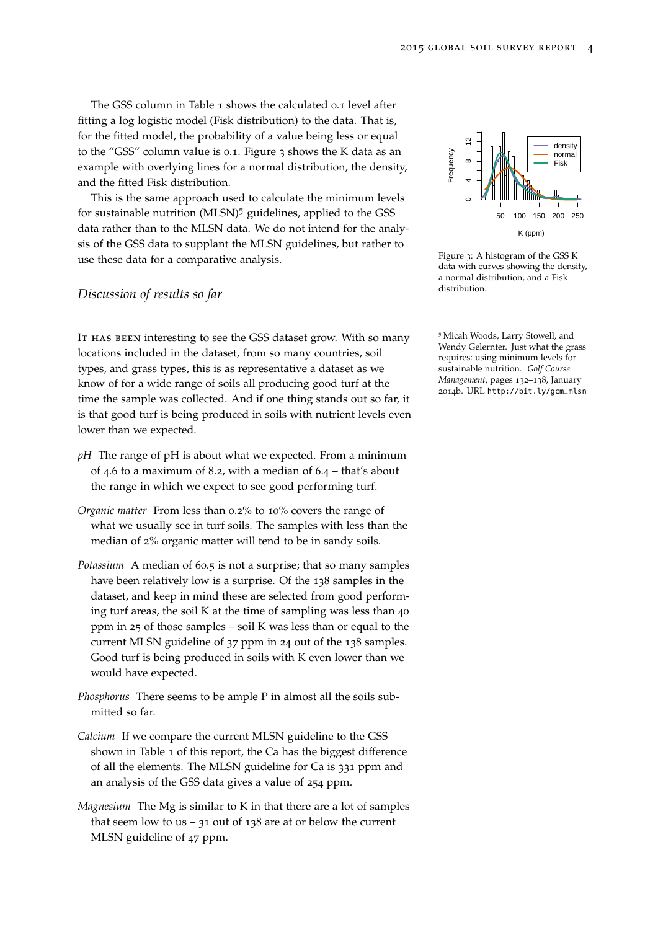The GSS column in Table [1](#page-0-1) shows the calculated 0.1 level after fitting a log logistic model (Fisk distribution) to the data. That is, for the fitted model, the probability of a value being less or equal to the "GSS" column value is 0.1. Figure [3](#page-0-1) shows the K data as an example with overlying lines for a normal distribution, the density, and the fitted Fisk distribution.

This is the same approach used to calculate the minimum levels for sustainable nutrition (MLSN)<sup>5</sup> guidelines, applied to the GSS data rather than to the MLSN data. We do not intend for the analysis of the GSS data to supplant the MLSN guidelines, but rather to use these data for a comparative analysis.

#### *Discussion of results so far*

IT HAS BEEN interesting to see the GSS dataset grow. With so many locations included in the dataset, from so many countries, soil types, and grass types, this is as representative a dataset as we know of for a wide range of soils all producing good turf at the time the sample was collected. And if one thing stands out so far, it is that good turf is being produced in soils with nutrient levels even lower than we expected.

- *pH* The range of pH is about what we expected. From a minimum of 4.6 to a maximum of 8.2, with a median of 6.4 – that's about the range in which we expect to see good performing turf.
- *Organic matter* From less than 0.2% to 10% covers the range of what we usually see in turf soils. The samples with less than the median of 2% organic matter will tend to be in sandy soils.
- *Potassium* A median of 60.5 is not a surprise; that so many samples have been relatively low is a surprise. Of the 138 samples in the dataset, and keep in mind these are selected from good performing turf areas, the soil K at the time of sampling was less than 40 ppm in 25 of those samples – soil K was less than or equal to the current MLSN guideline of 37 ppm in 24 out of the 138 samples. Good turf is being produced in soils with K even lower than we would have expected.
- *Phosphorus* There seems to be ample P in almost all the soils submitted so far.
- *Calcium* If we compare the current MLSN guideline to the GSS shown in Table [1](#page-0-1) of this report, the Ca has the biggest difference of all the elements. The MLSN guideline for Ca is 331 ppm and an analysis of the GSS data gives a value of 254 ppm.
- *Magnesium* The Mg is similar to K in that there are a lot of samples that seem low to us –  $31$  out of 138 are at or below the current MLSN guideline of 47 ppm.



Figure 3: A histogram of the GSS K data with curves showing the density, a normal distribution, and a Fisk distribution.

<sup>5</sup> Micah Woods, Larry Stowell, and Wendy Gelernter. Just what the grass requires: using minimum levels for sustainable nutrition. *Golf Course Management*, pages 132–138, January 2014b. URL [http://bit.ly/gcm\\_mlsn](http://bit.ly/gcm_mlsn)